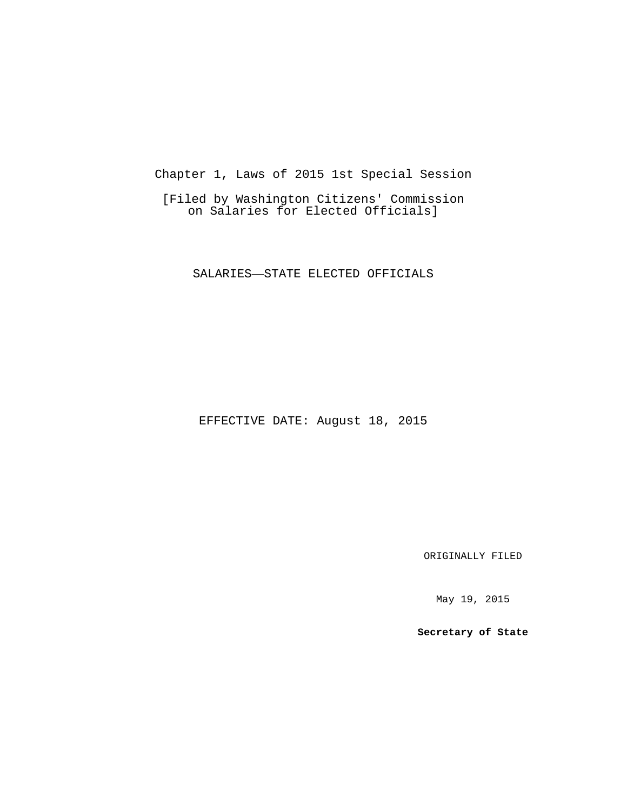Chapter 1, Laws of 2015 1st Special Session

[Filed by Washington Citizens' Commission on Salaries for Elected Officials]

SALARIES—STATE ELECTED OFFICIALS

EFFECTIVE DATE: August 18, 2015

ORIGINALLY FILED

May 19, 2015

**Secretary of State**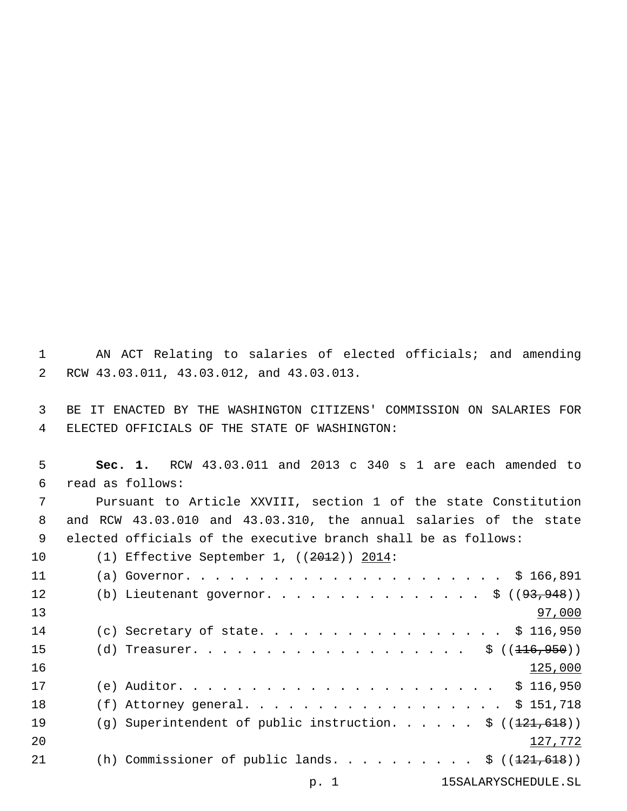AN ACT Relating to salaries of elected officials; and amending RCW 43.03.011, 43.03.012, and 43.03.013.2

 BE IT ENACTED BY THE WASHINGTON CITIZENS' COMMISSION ON SALARIES FOR ELECTED OFFICIALS OF THE STATE OF WASHINGTON:4

 **Sec. 1.** RCW 43.03.011 and 2013 c 340 s 1 are each amended to read as follows:6

 Pursuant to Article XXVIII, section 1 of the state Constitution and RCW 43.03.010 and 43.03.310, the annual salaries of the state elected officials of the executive branch shall be as follows:

10 (1) Effective September 1, ((2012)) 2014:

| 11 |                                                            |         |
|----|------------------------------------------------------------|---------|
| 12 | (b) Lieutenant governor. \$ $((93,948))$                   |         |
| 13 |                                                            | 97,000  |
| 14 | (c) Secretary of state. \$ 116,950                         |         |
| 15 |                                                            |         |
| 16 |                                                            | 125,000 |
| 17 |                                                            |         |
| 18 | (f) Attorney general. \$ 151,718                           |         |
| 19 | (g) Superintendent of public instruction. \$ $((121,618))$ |         |
| 20 |                                                            | 127,772 |
| 21 | (h) Commissioner of public lands. $\frac{1}{21,618}$ )     |         |
|    | 15SALARYSCHEDULE.SL<br>p. 1                                |         |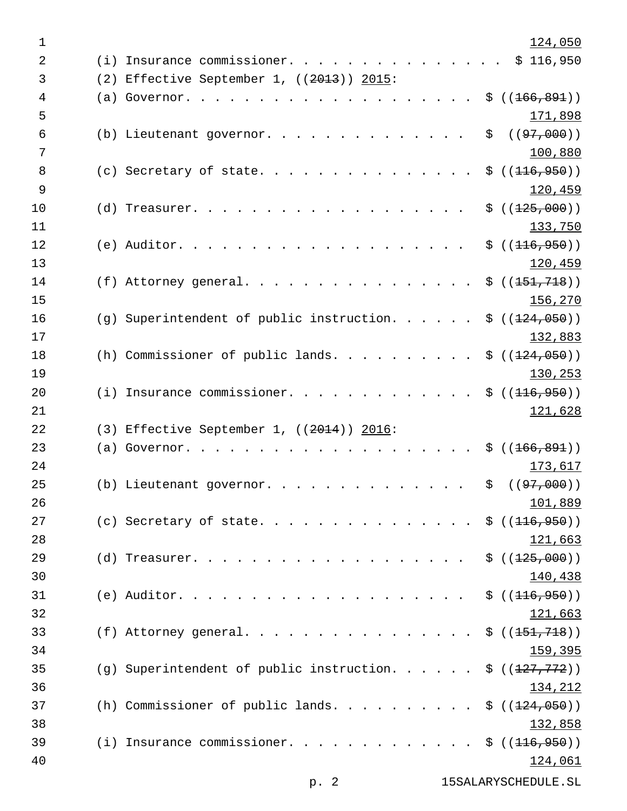| $\mathbf 1$    |                                             |    | 124,050        |
|----------------|---------------------------------------------|----|----------------|
| $\overline{2}$ | (i) Insurance commissioner.                 |    | \$116,950      |
| 3              | (2) Effective September 1, $((2013))$ 2015: |    |                |
| $\overline{4}$ | $(a)$ Governor.                             |    | \$((166, 891)) |
| 5              |                                             |    | 171,898        |
| 6              | (b) Lieutenant governor.                    | \$ | ( (97, 000) )  |
| 7              |                                             |    | 100,880        |
| 8              | (c) Secretary of state.                     |    | \$((116, 950)) |
| 9              |                                             |    | 120,459        |
| 10             | $(d)$ Treasurer.                            |    | \$((125,000))  |
| 11             |                                             |    | 133,750        |
| 12             | $(e)$ Auditor.                              |    | \$((116, 950)) |
| 13             |                                             |    | 120,459        |
| 14             | (f) Attorney general.<br>$\frac{1}{2}$      |    | \$((151, 718)) |
| 15             |                                             |    | 156,270        |
| 16             | (g) Superintendent of public instruction.   |    | \$((124,050))  |
| 17             |                                             |    | 132,883        |
| 18             | (h) Commissioner of public lands. $\ldots$  |    | \$((124,050))  |
| 19             |                                             |    | 130,253        |
| 20             | (i) Insurance commissioner.                 |    | \$((116, 950)) |
| 21             |                                             |    | 121,628        |
| 22             | (3) Effective September 1, $((2014))$ 2016: |    |                |
| 23             | (a) Governor.                               | S. | ( (166, 891) ) |
| 24             |                                             |    | 173,617        |
| 25             | (b) Lieutenant governor.                    | \$ | ( (97, 000) )  |
| 26             |                                             |    | 101,889        |
| 27             | (c) Secretary of state.                     |    | \$((116, 950)) |
| 28             |                                             |    | 121,663        |
| 29             | $(d)$ Treasurer.                            |    | \$((125,000))  |
| 30             |                                             |    | 140,438        |
| 31             |                                             |    | \$((116, 950)) |
| 32             |                                             |    | 121,663        |
| 33             | (f) Attorney general.                       |    | \$((151, 718)) |
| 34             |                                             |    | <u>159,395</u> |
| 35             | $(g)$ Superintendent of public instruction. |    | \$((127, 772)) |
| 36             |                                             |    | 134,212        |
| 37             |                                             |    | \$((124,050))  |
| 38             |                                             |    | 132,858        |
| 39             | $(i)$ Insurance commissioner.               |    | \$((116, 950)) |
| 40             |                                             |    | <u>124,061</u> |
|                |                                             |    |                |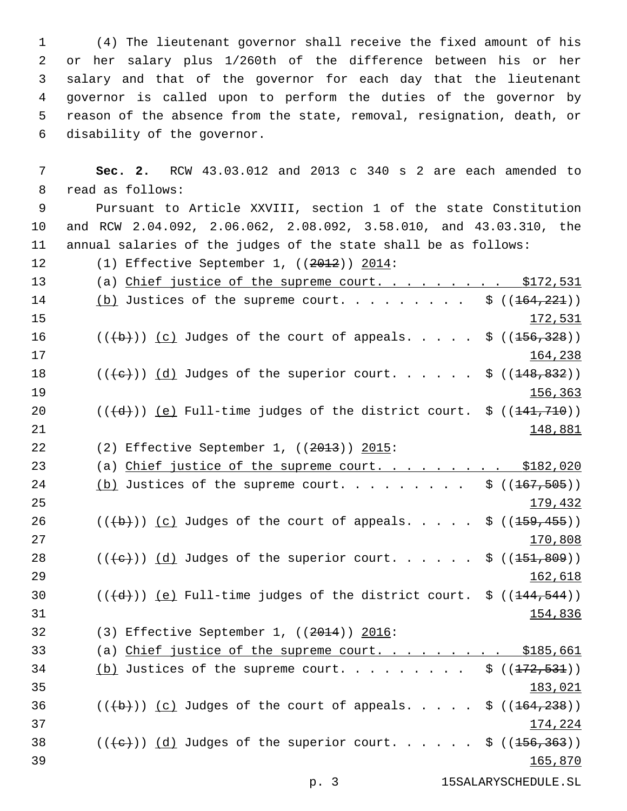(4) The lieutenant governor shall receive the fixed amount of his or her salary plus 1/260th of the difference between his or her salary and that of the governor for each day that the lieutenant governor is called upon to perform the duties of the governor by reason of the absence from the state, removal, resignation, death, or 6 disability of the governor.

7 **Sec. 2.** RCW 43.03.012 and 2013 c 340 s 2 are each amended to 8 read as follows:

9 Pursuant to Article XXVIII, section 1 of the state Constitution 10 and RCW 2.04.092, 2.06.062, 2.08.092, 3.58.010, and 43.03.310, the 11 annual salaries of the judges of the state shall be as follows:

12 (1) Effective September 1, ((2012)) 2014:

13 (a) Chief justice of the supreme court. . . . . . . . \$172,531 14 (b) Justices of the supreme court. . . . . . . .  $\frac{1}{9}$  ((164,221)) 15 172,531 16  $((+b))$   $(c)$  Judges of the court of appeals. . . . \$  $((156,328))$ 17 17 164,238 18  $((\text{+e})^{\circ})$  (d) Judges of the superior court. . . . . . \$ ((<del>148,832</del>)) 19 19 156,363 20  $((\{d\})$  (e) Full-time judges of the district court.  $\frac{1}{2}(1, 710)$ 21 **148,881** 22 (2) Effective September 1, ((2013)) 2015: 23 (a) Chief justice of the supreme court. . . . . . . . \$182,020 24 (b) Justices of the supreme court. . . . . . . .  $\frac{1}{9}$  ((167,505)) 25 179,432 26 ( $(\overline{(+b)})$  (c) Judges of the court of appeals. . . . \$ ( $(\overline{+59}, \overline{455})$ ) 27 and 200 and 200 and 200 and 200 and 200 and 200 and 200 and 200 and 200 and 200 and 200 and 200 and 200 and 200 and 200 and 200 and 200 and 200 and 200 and 200 and 200 and 200 and 200 and 200 and 200 and 200 and 200 and 28  $((+e))$  (d) Judges of the superior court. . . . . \$  $((1-51,809))$ 29 162,618 30  $((\{d\}))(e)$  Full-time judges of the district court. \$  $((144, 544))$ 31 154,836 32 (3) Effective September 1, ((2014)) 2016: 33 (a) Chief justice of the supreme court. . . . . . . . \$185,661  $34$  (b) Justices of the supreme court. . . . . . . . \$  $((172, 531))$ 35 183,021 36  $((\overline{a}))(\overline{c})$  Judges of the court of appeals. . . . \$  $((\overline{164},\overline{238}))$ 37 174,224 38  $((+e))$   $(d)$  Judges of the superior court. . . . . \$  $((156, 363))$ 39 165,870 p. 3 15SALARYSCHEDULE.SL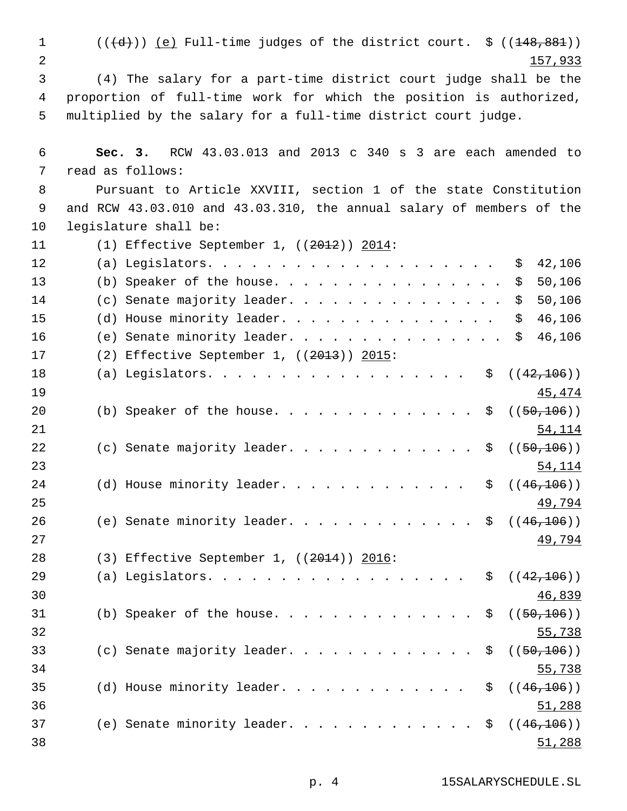1  $((\{d\}))(e)$  Full-time judges of the district court.  $\zeta((148,881))$ 2 157,933 3 (4) The salary for a part-time district court judge shall be the 4 proportion of full-time work for which the position is authorized, 5 multiplied by the salary for a full-time district court judge. 6 **Sec. 3.** RCW 43.03.013 and 2013 c 340 s 3 are each amended to 7 read as follows: 8 Pursuant to Article XXVIII, section 1 of the state Constitution 9 and RCW 43.03.010 and 43.03.310, the annual salary of members of the 10 legislature shall be: 11 (1) Effective September 1, ((2012)) 2014: 12 (a) Legislators. . . . . . . . . . . . . . . . . . . . \$ 42,106 13 (b) Speaker of the house. . . . . . . . . . . . . . . \$ 50,106 14 (c) Senate majority leader. . . . . . . . . . . . . . \$ 50,106 15 (d) House minority leader. . . . . . . . . . . . . . \$ 46,106 16 (e) Senate minority leader. . . . . . . . . . . . . . \$ 46,106 17 (2) Effective September 1, ((2013)) 2015: 18 (a) Legislators. . . . . . . . . . . . . . . . . \$ ((42,106)) 19  $\frac{45,474}{ }$ 20 (b) Speaker of the house. . . . . . . . . . . . . \$ ((50,106)) 21 54,114 22 (c) Senate majority leader. . . . . . . . . . . . \$  $((50, 106))$ 23 54,114 24 (d) House minority leader.  $\cdots$  . . . . . . . . . \$  $((46,106))$ 25 **49,794** 26 (e) Senate minority leader. . . . . . . . . . . . \$ ((46,106)) 27 **49,794** 28 (3) Effective September 1, ((2014)) 2016: 29 (a) Legislators. . . . . . . . . . . . . . . . . \$ ((42,106)) 30 46,839 31 (b) Speaker of the house. . . . . . . . . . . . .  $\frac{1}{50,106}$ ) 32 55,738 33 (c) Senate majority leader. . . . . . . . . . . . \$  $((50, 106))$ 34 55,738 35 (d) House minority leader. . . . . . . . . . . .  $\frac{1}{9}$  ((46,106)) 36 51,288 37 (e) Senate minority leader.  $\cdots$  . . . . . . . . . \$  $((46,106))$ 38 51,288